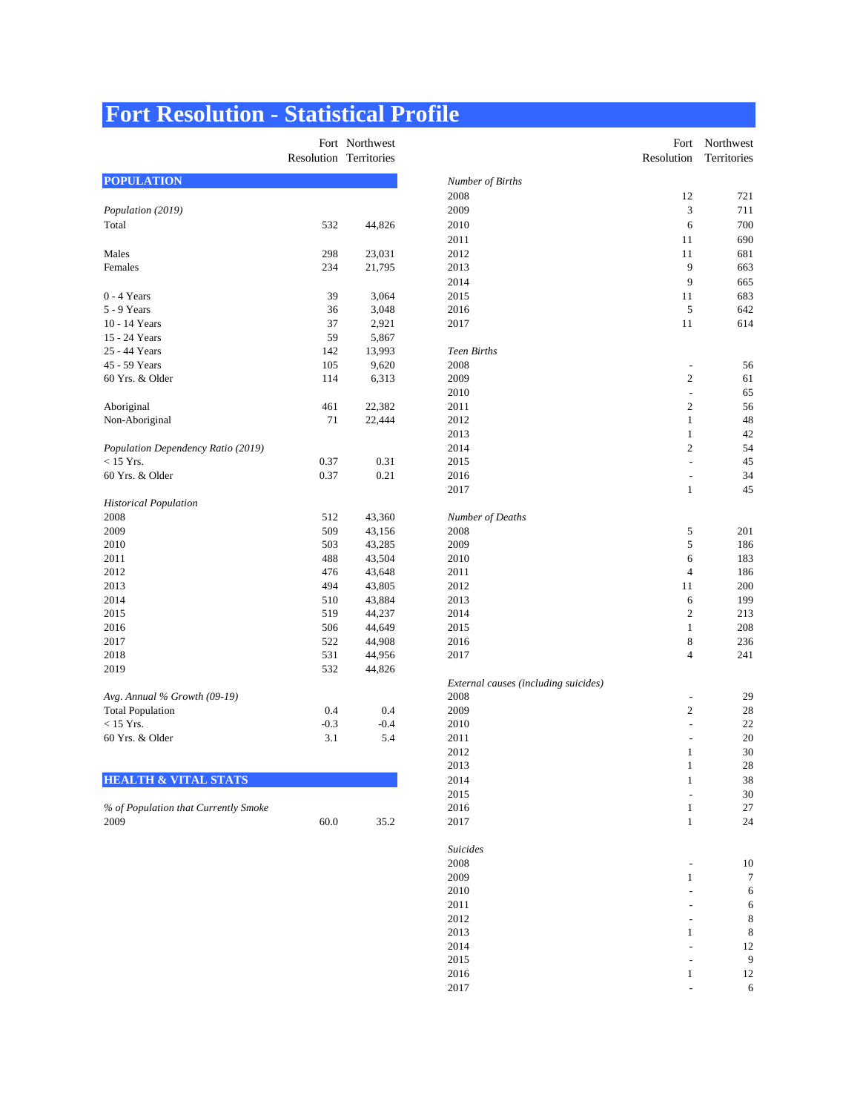# **Fort Resolution - Statistical Profile**

|                                    |            | Fort Northwest |                     |
|------------------------------------|------------|----------------|---------------------|
|                                    | Resolution | Territories    |                     |
| <b>POPULATION</b>                  |            |                | Number of Births    |
|                                    |            |                | 2008                |
| Population (2019)                  |            |                | 2009                |
| Total                              | 532        | 44,826         | 2010                |
|                                    |            |                | 2011                |
| Males                              | 298        | 23,031         | 2012                |
| Females                            | 234        | 21,795         | 2013                |
|                                    |            |                | 2014                |
| $0 - 4$ Years                      | 39         | 3,064          | 2015                |
| 5 - 9 Years                        | 36         | 3,048          | 2016                |
| 10 - 14 Years                      | 37         | 2,921          | 2017                |
| 15 - 24 Years                      | 59         | 5,867          |                     |
| 25 - 44 Years                      | 142        | 13,993         | <b>Teen Births</b>  |
| 45 - 59 Years                      | 105        | 9,620          | 2008                |
| 60 Yrs. & Older                    | 114        | 6,313          | 2009                |
|                                    |            |                | 2010                |
| Aboriginal                         | 461        | 22,382         | 2011                |
| Non-Aboriginal                     | 71         | 22,444         | 2012                |
|                                    |            |                | 2013                |
| Population Dependency Ratio (2019) |            |                | 2014                |
| $<$ 15 Yrs.                        | 0.37       | 0.31           | 2015                |
| 60 Yrs. & Older                    | 0.37       | 0.21           | 2016                |
|                                    |            |                | 2017                |
| <b>Historical Population</b>       |            |                |                     |
| 2008                               | 512        | 43,360         | Number of Deaths    |
| 2009                               | 509        | 43,156         | 2008                |
| 2010                               | 503        | 43,285         | 2009                |
| 2011                               | 488        | 43,504         | 2010                |
| 2012                               | 476        | 43,648         | 2011                |
| 2013                               | 494        | 43,805         | 2012                |
| 2014                               | 510        | 43,884         | 2013                |
| 2015                               | 519        | 44,237         | 2014                |
| 2016                               | 506        | 44,649         | 2015                |
| 2017                               | 522        | 44,908         | 2016                |
| 2018                               | 531        | 44,956         | 2017                |
| 2019                               | 532        | 44,826         |                     |
|                                    |            |                | External causes (i. |
| Avg. Annual % Growth (09-19)       |            |                | 2008                |
| <b>Total Population</b>            | 0.4        | 0.4            | 2009                |
| $<$ 15 Yrs.                        | $-0.3$     | $-0.4$         | 2010                |
| 60 Yrs. & Older                    | 3.1        | 5.4            | 2011                |
|                                    |            |                | 2012                |
|                                    |            |                |                     |

#### **HEALTH & VITAL STATS**

| % of Population that Currently Smoke |      |      |
|--------------------------------------|------|------|
| 2009                                 | 60.0 | 35.2 |

|                                      | Resolution Territories | Fort Northwest |                                      | Resolution               | Fort Northwest<br>Territories |
|--------------------------------------|------------------------|----------------|--------------------------------------|--------------------------|-------------------------------|
| <b>POPULATION</b>                    |                        |                | Number of Births                     |                          |                               |
|                                      |                        |                | 2008                                 | 12                       | 721                           |
| Population (2019)                    |                        |                | 2009                                 | 3                        | 711                           |
| Total                                | 532                    | 44,826         | 2010                                 | 6                        | 700                           |
|                                      |                        |                | 2011                                 | 11                       | 690                           |
| Males                                | 298                    | 23,031         | 2012                                 | 11                       | 681                           |
| Females                              | 234                    | 21,795         | 2013                                 | 9                        | 663                           |
|                                      |                        |                | 2014                                 | 9                        | 665                           |
| 0 - 4 Years                          | 39                     | 3,064          | 2015                                 | 11                       | 683                           |
| 5 - 9 Years                          | 36                     | 3,048          | 2016                                 | 5                        | 642                           |
| 10 - 14 Years                        | 37                     | 2,921          | 2017                                 | 11                       | 614                           |
| 15 - 24 Years                        | 59                     | 5,867          |                                      |                          |                               |
| 25 - 44 Years                        | 142                    | 13,993         | <b>Teen Births</b>                   |                          |                               |
| 45 - 59 Years                        | 105                    | 9,620          | 2008                                 |                          | 56                            |
| 60 Yrs. & Older                      | 114                    | 6,313          | 2009                                 | 2                        | 61                            |
|                                      |                        |                | 2010                                 | $\overline{a}$           | 65                            |
| Aboriginal                           | 461                    | 22,382         | 2011                                 | 2                        | 56                            |
| Non-Aboriginal                       | 71                     | 22,444         | 2012                                 | $\mathbf{1}$             | 48                            |
|                                      |                        |                | 2013                                 | 1                        | 42                            |
| Population Dependency Ratio (2019)   |                        |                | 2014                                 | 2                        | 54                            |
| $<$ 15 Yrs.                          | 0.37                   | 0.31           | 2015                                 | $\overline{\phantom{a}}$ | 45                            |
| 60 Yrs. & Older                      | 0.37                   | 0.21           | 2016                                 | $\qquad \qquad -$        | 34                            |
|                                      |                        |                | 2017                                 | $\mathbf{1}$             | 45                            |
| <b>Historical Population</b>         |                        |                |                                      |                          |                               |
| 2008                                 | 512                    | 43,360         | <b>Number of Deaths</b>              |                          |                               |
| 2009                                 | 509                    | 43,156         | 2008                                 | 5                        | 201                           |
| 2010                                 | 503                    | 43,285         | 2009                                 | 5                        | 186                           |
| 2011                                 | 488                    | 43,504         | 2010                                 | 6                        | 183                           |
| 2012                                 | 476                    | 43,648         | 2011                                 | 4                        | 186                           |
| 2013                                 | 494                    | 43,805         | 2012                                 | 11                       | 200                           |
| 2014                                 | 510                    | 43,884         | 2013                                 | 6                        | 199                           |
| 2015                                 | 519                    | 44,237         | 2014                                 | $\boldsymbol{2}$         | 213                           |
| 2016                                 | 506                    | 44,649         | 2015                                 | 1                        | 208                           |
| 2017                                 | 522                    | 44,908         | 2016                                 | 8                        | 236                           |
| 2018                                 | 531                    | 44,956         | 2017                                 | 4                        | 241                           |
| 2019                                 | 532                    | 44,826         |                                      |                          |                               |
|                                      |                        |                | External causes (including suicides) |                          |                               |
| Avg. Annual % Growth (09-19)         |                        |                | 2008                                 | $\overline{a}$           | 29                            |
| <b>Total Population</b>              | 0.4                    | 0.4            | 2009                                 | 2                        | 28                            |
| $<$ 15 Yrs.                          | $-0.3$                 | $-0.4$         | 2010                                 | $\overline{\phantom{a}}$ | 22                            |
| 60 Yrs. & Older                      | 3.1                    | 5.4            | 2011                                 |                          | 20                            |
|                                      |                        |                | 2012                                 | 1                        | 30                            |
|                                      |                        |                | 2013                                 |                          | $\sqrt{28}$                   |
| <b>HEALTH &amp; VITAL STATS</b>      |                        |                | 2014                                 | $\mathbf{1}$             | $38\,$                        |
|                                      |                        |                | 2015                                 |                          | $30\,$                        |
| % of Population that Currently Smoke |                        |                | 2016                                 | $\mathbf{1}$             | $27\,$                        |
| 2009                                 | 60.0                   | 35.2           | 2017                                 | $\mathbf{1}$             | 24                            |
|                                      |                        |                | <b>Suicides</b>                      |                          |                               |
|                                      |                        |                | 2008                                 |                          | $10\,$                        |
|                                      |                        |                | 2009                                 | 1                        | 7                             |
|                                      |                        |                | 2010                                 |                          | 6                             |
|                                      |                        |                | 2011                                 |                          | 6                             |
|                                      |                        |                | 2012                                 |                          | $\,8\,$                       |
|                                      |                        |                | 2013                                 | 1                        | $\,$ 8 $\,$                   |
|                                      |                        |                | 2014                                 |                          | 12                            |
|                                      |                        |                | 2015                                 |                          | $\boldsymbol{9}$              |
|                                      |                        |                | 2016                                 | $\mathbf{1}$             | $12\,$                        |
|                                      |                        |                | 2017                                 |                          | $\sqrt{6}$                    |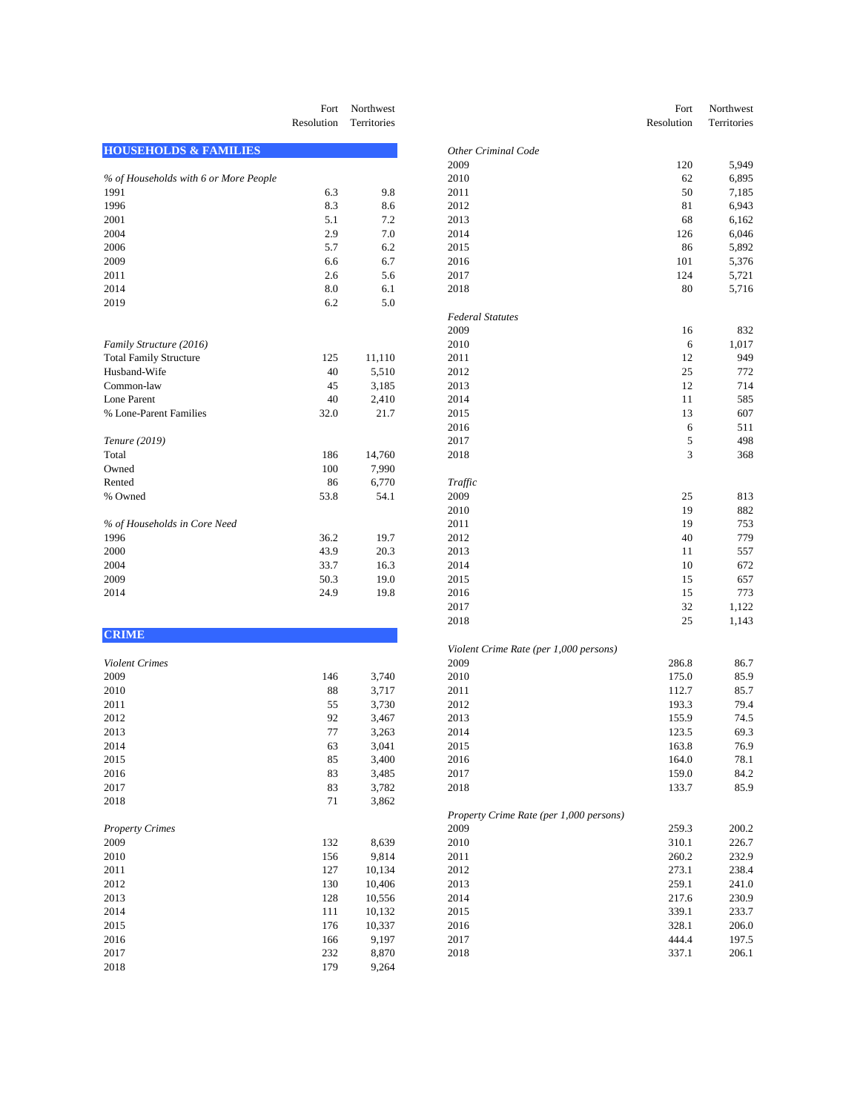|                                       | Fort<br>Resolution | Northwest<br>Territories | Resolution                                      | Fort<br>Northwest<br>Territories |
|---------------------------------------|--------------------|--------------------------|-------------------------------------------------|----------------------------------|
| <b>HOUSEHOLDS &amp; FAMILIES</b>      |                    |                          | <b>Other Criminal Code</b>                      |                                  |
|                                       |                    |                          | 2009                                            | 120<br>5,949                     |
| % of Households with 6 or More People |                    |                          | 2010                                            | 62<br>6,895                      |
| 1991                                  | 6.3                | 9.8                      | 2011                                            | 50<br>7,185                      |
| 1996                                  | 8.3                | 8.6                      | 2012                                            | 81<br>6,943                      |
| 2001                                  | 5.1                | 7.2                      | 2013                                            | 68<br>6,162                      |
| 2004                                  | 2.9                | 7.0                      | 2014                                            | 126<br>6,046                     |
| 2006                                  | 5.7                | 6.2                      | 2015                                            | 86<br>5,892                      |
| 2009                                  | 6.6                | 6.7                      | 2016                                            | 101<br>5,376                     |
| 2011                                  | 2.6                | 5.6                      | 2017                                            | 124<br>5,721                     |
| 2014                                  | 8.0                | 6.1                      | 2018                                            | 80<br>5,716                      |
| 2019                                  | 6.2                | 5.0                      |                                                 |                                  |
|                                       |                    |                          | <b>Federal Statutes</b>                         |                                  |
|                                       |                    |                          | 2009                                            | 832<br>16                        |
| Family Structure (2016)               |                    |                          | 2010                                            | 6<br>1,017                       |
| <b>Total Family Structure</b>         | 125                | 11,110                   | 2011                                            | 12<br>949                        |
| Husband-Wife                          | 40                 | 5,510                    | 2012                                            | 25<br>772                        |
| Common-law                            | 45                 | 3,185                    | 2013                                            | 12<br>714                        |
| Lone Parent                           | 40                 | 2,410                    | 2014                                            | 11<br>585                        |
| % Lone-Parent Families                | 32.0               | 21.7                     | 2015                                            | 13<br>607                        |
|                                       |                    |                          | 2016                                            | 6<br>511                         |
| Tenure (2019)                         |                    |                          | 2017                                            | 5<br>498                         |
| Total                                 | 186                | 14,760                   | 2018                                            | 3<br>368                         |
| Owned                                 | 100                | 7,990                    |                                                 |                                  |
| Rented                                | 86                 | 6,770                    | Traffic                                         |                                  |
| % Owned                               | 53.8               | 54.1                     | 2009                                            | 25<br>813                        |
|                                       |                    |                          | 2010                                            | 19<br>882                        |
| % of Households in Core Need          |                    |                          | 2011                                            | 19<br>753                        |
| 1996                                  | 36.2               | 19.7                     | 2012                                            | 40<br>779                        |
| 2000                                  | 43.9               | 20.3                     | 2013                                            | 11<br>557                        |
| 2004                                  | 33.7               | 16.3                     | 2014                                            | 10<br>672                        |
| 2009                                  | 50.3               | 19.0                     | 2015                                            | 15<br>657                        |
| 2014                                  | 24.9               | 19.8                     | 2016                                            | 15<br>773                        |
|                                       |                    |                          | 2017                                            | 32<br>1,122                      |
| <b>CRIME</b>                          |                    |                          | 2018                                            | 25<br>1,143                      |
|                                       |                    |                          | Violent Crime Rate (per 1,000 persons)          |                                  |
| Violent Crimes                        |                    |                          | 2009                                            | 286.8<br>86.7                    |
| 2009                                  | 146                | 3,740                    | 2010                                            | 175.0<br>85.9                    |
| 2010                                  | 88                 | 3,717                    | 2011                                            | 112.7<br>85.7                    |
| 2011                                  | 55                 | 3,730                    | 2012                                            | 193.3<br>79.4                    |
| 2012                                  | 92                 | 3,467                    | 2013                                            | 155.9<br>74.5                    |
| 2013                                  | 77                 | 3,263                    | 2014                                            | 123.5<br>69.3                    |
| 2014                                  | 63                 | 3,041                    | 2015                                            | 163.8<br>76.9                    |
| 2015                                  | 85                 | 3,400                    | 2016                                            | 164.0<br>78.1                    |
| 2016                                  | 83                 | 3,485                    | 2017                                            | 159.0<br>84.2                    |
| 2017                                  | 83                 | 3,782                    | 2018                                            | 133.7<br>85.9                    |
| 2018                                  | 71                 | 3,862                    |                                                 |                                  |
| <b>Property Crimes</b>                |                    |                          | Property Crime Rate (per 1,000 persons)<br>2009 | 259.3<br>200.2                   |
|                                       |                    |                          |                                                 |                                  |
| 2009                                  | 132                | 8,639                    | 2010                                            | 310.1<br>226.7                   |
| 2010                                  | 156                | 9,814                    | $2011\,$                                        | 260.2<br>232.9                   |
| 2011                                  | 127                | 10,134                   | 2012                                            | 273.1<br>238.4                   |
| 2012                                  | 130                | 10,406                   | 2013                                            | 259.1<br>241.0                   |
| 2013                                  | 128                | 10,556                   | 2014                                            | 217.6<br>230.9                   |
| 2014                                  | 111                | 10,132                   | 2015                                            | 339.1<br>233.7                   |

179 9,264

|                                       | Fort<br>Resolution | Northwest<br>Territories |                                         | Fort<br>Resolution | Northwest<br>Territories |
|---------------------------------------|--------------------|--------------------------|-----------------------------------------|--------------------|--------------------------|
| <b>HOUSEHOLDS &amp; FAMILIES</b>      |                    |                          | <b>Other Criminal Code</b>              |                    |                          |
|                                       |                    |                          | 2009                                    | 120                | 5,949                    |
| % of Households with 6 or More People |                    |                          | 2010                                    | 62                 | 6,895                    |
| 1991                                  | 6.3                | 9.8                      | 2011                                    | 50                 | 7,185                    |
| 1996                                  | 8.3                | 8.6                      | 2012                                    | 81                 | 6,943                    |
| 2001                                  | 5.1                | 7.2                      | 2013                                    | 68                 | 6,162                    |
| 2004                                  | 2.9                | $7.0\,$                  | 2014                                    | 126                | 6,046                    |
| 2006                                  | 5.7                | 6.2                      | 2015                                    | 86                 | 5,892                    |
| 2009                                  | 6.6                | 6.7                      | 2016                                    | 101                | 5,376                    |
| 2011                                  | 2.6                | 5.6                      | 2017                                    | 124                | 5,721                    |
| 2014                                  | 8.0                | 6.1                      | 2018                                    | 80                 | 5,716                    |
| 2019                                  | 6.2                | 5.0                      |                                         |                    |                          |
|                                       |                    |                          | <b>Federal Statutes</b>                 |                    |                          |
|                                       |                    |                          | 2009                                    | 16                 | 832                      |
| Family Structure (2016)               |                    |                          | 2010                                    | 6                  | 1,017                    |
| <b>Total Family Structure</b>         | 125                | 11,110                   | 2011                                    | 12                 | 949                      |
| Husband-Wife                          | 40                 | 5,510                    | 2012                                    | 25                 | 772                      |
| Common-law                            | 45                 | 3,185                    | 2013                                    | 12                 | 714                      |
| Lone Parent                           | 40                 | 2,410                    | 2014                                    | 11                 | 585                      |
| % Lone-Parent Families                | 32.0               | 21.7                     | 2015                                    | 13                 | 607                      |
|                                       |                    |                          | 2016                                    | 6                  | 511                      |
|                                       |                    |                          |                                         |                    |                          |
| Tenure (2019)                         |                    |                          | 2017                                    | 5                  | 498                      |
| Total                                 | 186                | 14,760                   | 2018                                    | 3                  | 368                      |
| Owned                                 | 100                | 7,990                    |                                         |                    |                          |
| Rented                                | 86                 | 6,770                    | Traffic                                 |                    |                          |
| % Owned                               | 53.8               | 54.1                     | 2009                                    | 25                 | 813                      |
|                                       |                    |                          | 2010                                    | 19                 | 882                      |
| % of Households in Core Need          |                    |                          | 2011                                    | 19                 | 753                      |
| 1996                                  | 36.2               | 19.7                     | 2012                                    | 40                 | 779                      |
| 2000                                  | 43.9               | 20.3                     | 2013                                    | 11                 | 557                      |
| 2004                                  | 33.7               | 16.3                     | 2014                                    | 10                 | 672                      |
| 2009                                  | 50.3               | 19.0                     | 2015                                    | 15                 | 657                      |
| 2014                                  | 24.9               | 19.8                     | 2016                                    | 15                 | 773                      |
|                                       |                    |                          | 2017                                    | 32                 | 1,122                    |
| <b>CRIME</b>                          |                    |                          | 2018                                    | 25                 | 1,143                    |
|                                       |                    |                          | Violent Crime Rate (per 1,000 persons)  |                    |                          |
| <b>Violent Crimes</b>                 |                    |                          | 2009                                    | 286.8              | 86.7                     |
| 2009                                  | 146                | 3,740                    | 2010                                    | 175.0              | 85.9                     |
| 2010                                  | 88                 | 3,717                    | 2011                                    | 112.7              | 85.7                     |
| 2011                                  | 55                 | 3,730                    | 2012                                    | 193.3              | 79.4                     |
| 2012                                  | 92                 | 3,467                    | 2013                                    | 155.9              | 74.5                     |
| 2013                                  | 77                 | 3,263                    | 2014                                    | 123.5              | 69.3                     |
| 2014                                  | 63                 | 3,041                    | 2015                                    | 163.8              | 76.9                     |
| 2015                                  | 85                 | 3,400                    | 2016                                    | 164.0              | 78.1                     |
| 2016                                  | 83                 | 3,485                    | 2017                                    | 159.0              | 84.2                     |
| 2017                                  | 83                 | 3,782                    | 2018                                    | 133.7              | 85.9                     |
| 2018                                  | 71                 | 3,862                    |                                         |                    |                          |
|                                       |                    |                          | Property Crime Rate (per 1,000 persons) |                    |                          |
| <b>Property Crimes</b>                |                    |                          | 2009                                    | 259.3              | 200.2                    |
| 2009                                  | 132                | 8,639                    | 2010                                    | 310.1              | 226.7                    |
| 2010                                  | 156                | 9,814                    | 2011                                    | 260.2              | 232.9                    |
| 2011                                  | 127                | 10,134                   | 2012                                    | 273.1              | 238.4                    |
| 2012                                  | 130                | 10,406                   | 2013                                    | 259.1              | 241.0                    |
| 2013                                  | 128                | 10,556                   | 2014                                    | 217.6              | 230.9                    |
| 2014                                  | 111                | 10,132                   | 2015                                    | 339.1              | 233.7                    |
| 2015                                  | 176                | 10,337                   | 2016                                    | 328.1              | 206.0                    |
| 2016                                  | 166                | 9,197                    | 2017                                    | 444.4              | 197.5                    |
| 2017                                  | 232                | 8,870                    | 2018                                    | 337.1              | 206.1                    |
| 2018                                  | 179                | 9.264                    |                                         |                    |                          |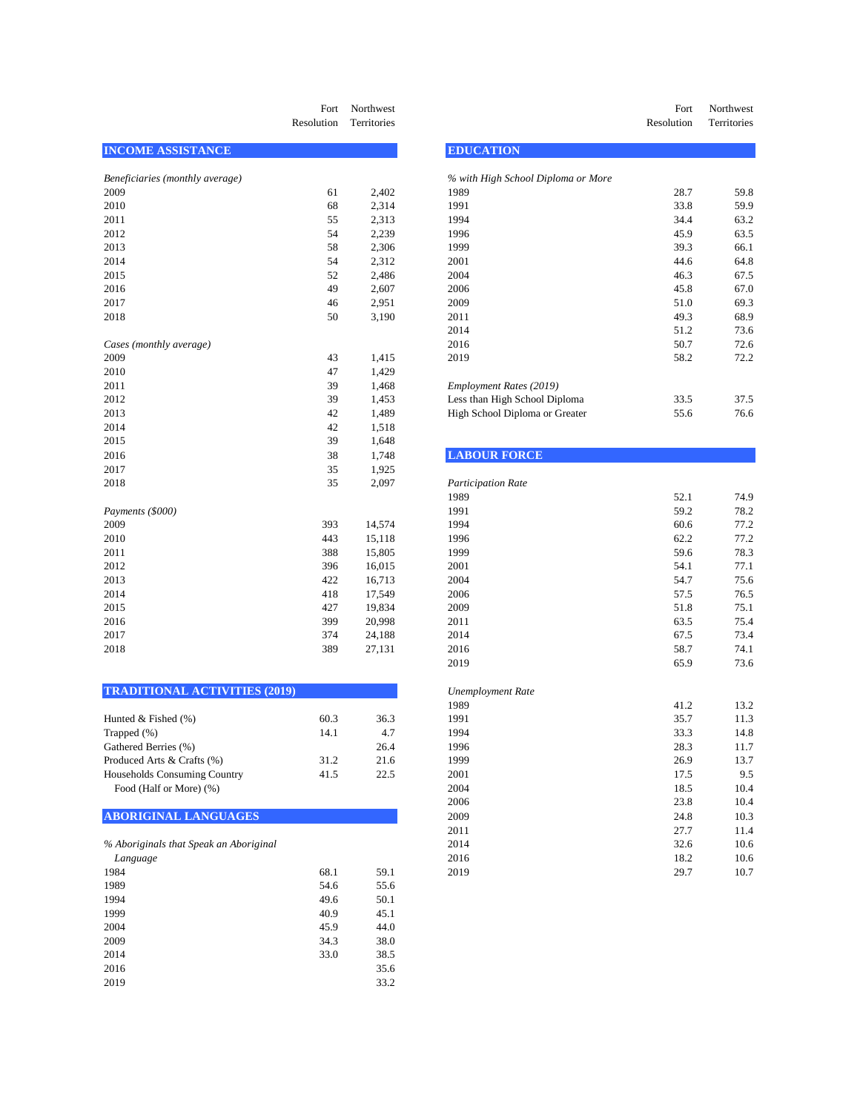|                                 | Fort<br>Resolution | Northwest<br>Territories |                                    | Fort<br>Resolution    | Northwest<br>Territories |
|---------------------------------|--------------------|--------------------------|------------------------------------|-----------------------|--------------------------|
| <b>INCOME ASSISTANCE</b>        |                    |                          | <b>EDUCATION</b>                   |                       |                          |
| Beneficiaries (monthly average) |                    |                          | % with High School Diploma or More |                       |                          |
| 2009                            | 61                 | 2,402                    | 1989                               | 28.7                  | 59.8                     |
| 2010                            | 68                 | 2,314                    | 1991                               | 33.8                  | 59.9                     |
| 2011                            | 55                 | 2,313                    | 1994                               | 34.4                  | 63.2                     |
| 2012                            | 54                 | 2,239                    | 1996                               | 45.9                  | 63.5                     |
| 2013                            | 58                 | 2,306                    | 1999                               | 39.3                  | 66.1                     |
| 2014                            | 54                 | 2,312                    | 2001                               | 44.6                  | 64.8                     |
| 2015                            | 52                 | 2,486                    | 2004                               | 46.3                  | 67.5                     |
| 2016                            | 49                 | 2,607                    | 2006                               | 45.8                  | 67.0                     |
| 2017                            | 46                 | 2,951                    | 2009                               | 51.0                  | 69.3                     |
| 2018                            | 50                 | 3,190                    | 2011                               | 49.3                  | 68.9                     |
|                                 |                    |                          | 2014                               | 51.2                  | 73.6                     |
| Cases (monthly average)         |                    |                          | 2016                               | 50.7                  | 72.6                     |
| 2009                            | 43                 | 1,415                    | 2019                               | 58.2                  | 72.2                     |
| 2010                            | 47                 | 1,429                    |                                    |                       |                          |
| 2011                            | 39                 | 1,468                    | Employment Rates (2019)            |                       |                          |
| 2012                            | 39                 | 1,453                    | Less than High School Diploma      | 33.5                  | 37.5                     |
| 2013                            | 42                 | 1,489                    | High School Diploma or Greater     | 55.6                  | 76.6                     |
| 2014                            | 42                 | 1,518                    |                                    |                       |                          |
| 2015                            | 39                 | 1,648                    |                                    |                       |                          |
| 2016                            | 38                 | 1,748                    | <b>LABOUR FORCE</b>                |                       |                          |
| 2017                            | 35                 | 1,925                    |                                    |                       |                          |
| 2018                            | 35                 | 2,097                    | <b>Participation Rate</b>          |                       |                          |
|                                 |                    |                          | 1989                               | 52.1                  | 74.9                     |
| Payments (\$000)                |                    |                          | 1991                               | 59.2                  | 78.2                     |
| 2009                            | 393                | 14,574                   | 1994                               | 60.6                  | 77.2                     |
| 2010                            | 443                | 15,118                   | 1996                               | 62.2                  | 77.2                     |
| 2011                            | 388                | 15,805                   | 1999                               | 59.6                  | 78.3                     |
| 2012                            | 396                | 16,015                   | 2001                               | 54.1                  | 77.1                     |
| 2013                            | 422                | 16,713                   | 2004                               | 54.7                  | 75.6                     |
| 2014                            | 418                | 17,549                   | 2006                               | 57.5                  | 76.5                     |
| 2015                            | 427                | 19,834                   | 2009                               | 51.8                  | 75.1                     |
| 2016                            | 399                | 20,998                   | 2011                               | 63.5                  | 75.4                     |
| 2017                            | 374                | 24,188                   | 2014                               | 67.5                  | 73.4                     |
| 2018                            | 389                | 27,131                   | 2016                               | 58.7                  | 74.1                     |
|                                 |                    |                          | 2010                               | $\epsilon \in \Omega$ | 72 <sup>o</sup>          |

| <b>TRADITIONAL ACTIVITIES (2019)</b> | Unemployment Rate |
|--------------------------------------|-------------------|
|                                      |                   |

| Hunted $&$ Fished $(\%)$     | 60.3 | 36.3 |
|------------------------------|------|------|
| Trapped $(\%)$               | 14.1 | 4.7  |
| Gathered Berries (%)         |      | 26.4 |
| Produced Arts & Crafts (%)   | 31.2 | 21.6 |
| Households Consuming Country | 41.5 | 22.5 |
| Food (Half or More) (%)      |      |      |
|                              |      |      |

## **ABORIGINAL LANGUAGES**

| % Aboriginals that Speak an Aboriginal |      |      |
|----------------------------------------|------|------|
| Language                               |      |      |
| 1984                                   | 68.1 | 59.1 |
| 1989                                   | 54.6 | 55.6 |
| 1994                                   | 49.6 | 50.1 |
| 1999                                   | 40.9 | 45.1 |
| 2004                                   | 45.9 | 44.0 |
| 2009                                   | 34.3 | 38.0 |
| 2014                                   | 33.0 | 38.5 |
| 2016                                   |      | 35.6 |
| 2019                                   |      | 33.2 |
|                                        |      |      |

| Fort<br>Resolution | Northwest<br>Territories |                                    | Fort<br>Resolution | Northwest<br>Territories |
|--------------------|--------------------------|------------------------------------|--------------------|--------------------------|
|                    |                          | <b>EDUCATION</b>                   |                    |                          |
|                    |                          | % with High School Diploma or More |                    |                          |
| 61                 | 2,402                    | 1989                               | 28.7               | 59.8                     |
| 68                 | 2.314                    | 1991                               | 33.8               | 59.9                     |
| 55                 | 2.313                    | 1994                               | 344                | 63.2                     |

| 2011                    | 55 | 2,313 | 1994                           | 34.4 | 63.2 |
|-------------------------|----|-------|--------------------------------|------|------|
| 2012                    | 54 | 2,239 | 1996                           | 45.9 | 63.5 |
| 2013                    | 58 | 2,306 | 1999                           | 39.3 | 66.1 |
| 2014                    | 54 | 2,312 | 2001                           | 44.6 | 64.8 |
| 2015                    | 52 | 2,486 | 2004                           | 46.3 | 67.5 |
| 2016                    | 49 | 2,607 | 2006                           | 45.8 | 67.0 |
| 2017                    | 46 | 2,951 | 2009                           | 51.0 | 69.3 |
| 2018                    | 50 | 3,190 | 2011                           | 49.3 | 68.9 |
|                         |    |       | 2014                           | 51.2 | 73.6 |
| Cases (monthly average) |    |       | 2016                           | 50.7 | 72.6 |
| 2009                    | 43 | 1,415 | 2019                           | 58.2 | 72.2 |
| 2010                    | 47 | 1,429 |                                |      |      |
| 2011                    | 39 | 1,468 | Employment Rates (2019)        |      |      |
| 2012                    | 39 | 1,453 | Less than High School Diploma  | 33.5 | 37.5 |
| 2013                    | 42 | 1,489 | High School Diploma or Greater | 55.6 | 76.6 |
|                         |    |       |                                |      |      |

| <b>LABOUR FORCE</b> |  |  |
|---------------------|--|--|
|                     |  |  |

| 2018                                   | 35   | 2,097  | <b>Participation Rate</b> |      |      |
|----------------------------------------|------|--------|---------------------------|------|------|
|                                        |      |        | 1989                      | 52.1 | 74.9 |
| Payments (\$000)                       |      |        | 1991                      | 59.2 | 78.2 |
| 2009                                   | 393  | 14,574 | 1994                      | 60.6 | 77.2 |
| 2010                                   | 443  | 15,118 | 1996                      | 62.2 | 77.2 |
| 2011                                   | 388  | 15,805 | 1999                      | 59.6 | 78.3 |
| 2012                                   | 396  | 16,015 | 2001                      | 54.1 | 77.1 |
| 2013                                   | 422  | 16,713 | 2004                      | 54.7 | 75.6 |
| 2014                                   | 418  | 17,549 | 2006                      | 57.5 | 76.5 |
| 2015                                   | 427  | 19,834 | 2009                      | 51.8 | 75.1 |
| 2016                                   | 399  | 20,998 | 2011                      | 63.5 | 75.4 |
| 2017                                   | 374  | 24,188 | 2014                      | 67.5 | 73.4 |
| 2018                                   | 389  | 27,131 | 2016                      | 58.7 | 74.1 |
|                                        |      |        | 2019                      | 65.9 | 73.6 |
| <b>TRADITIONAL ACTIVITIES (2019)</b>   |      |        | <b>Unemployment Rate</b>  |      |      |
|                                        |      |        | 1989                      | 41.2 | 13.2 |
| Hunted & Fished (%)                    | 60.3 | 36.3   | 1991                      | 35.7 | 11.3 |
| Trapped (%)                            | 14.1 | 4.7    | 1994                      | 33.3 | 14.8 |
| Gathered Berries (%)                   |      | 26.4   | 1996                      | 28.3 | 11.7 |
| Produced Arts & Crafts (%)             | 31.2 | 21.6   | 1999                      | 26.9 | 13.7 |
| <b>Households Consuming Country</b>    | 41.5 | 22.5   | 2001                      | 17.5 | 9.5  |
| Food (Half or More) (%)                |      |        | 2004                      | 18.5 | 10.4 |
|                                        |      |        | 2006                      | 23.8 | 10.4 |
| <b>ABORIGINAL LANGUAGES</b>            |      |        | 2009                      | 24.8 | 10.3 |
|                                        |      |        | 2011                      | 27.7 | 11.4 |
| % Aboriginals that Speak an Aboriginal |      |        | 2014                      | 32.6 | 10.6 |
| Language                               |      |        | 2016                      | 18.2 | 10.6 |
| 1984                                   | 68.1 | 59.1   | 2019                      | 29.7 | 10.7 |
|                                        |      |        |                           |      |      |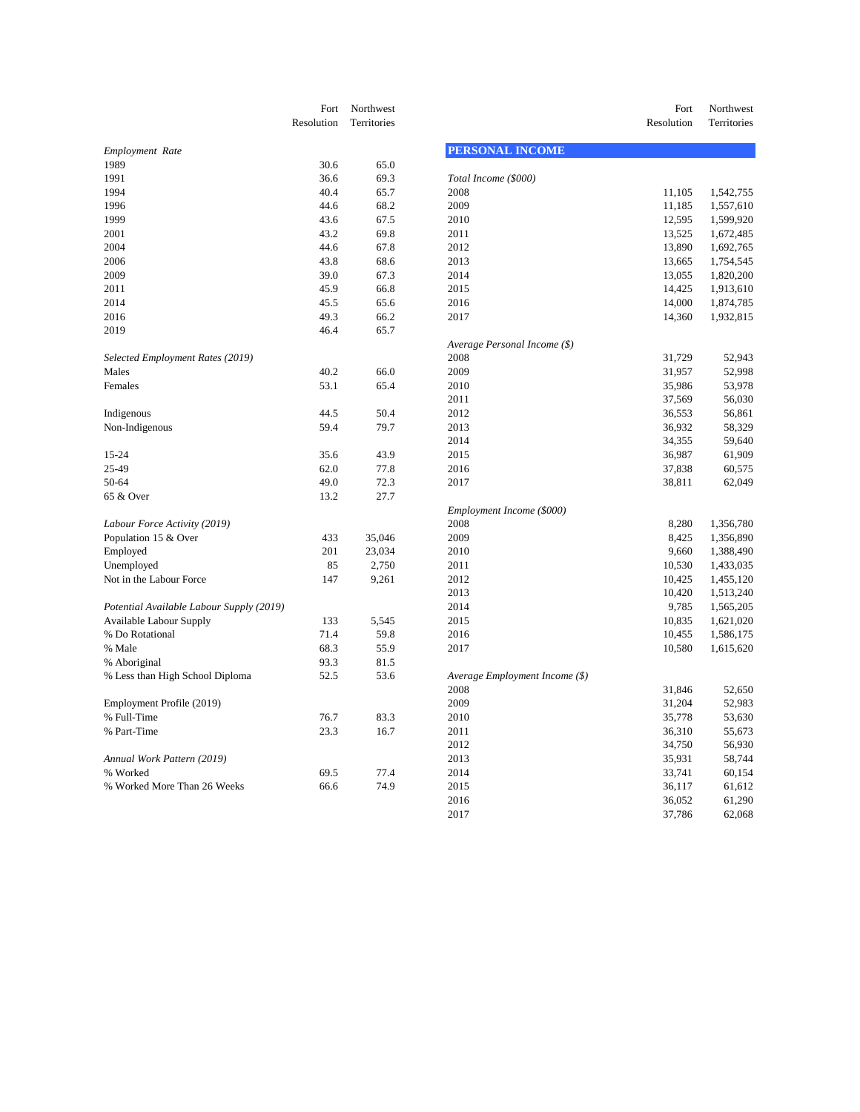|                                                                            | Fort         | Northwest   |                                        | Fort             | Northwest   |
|----------------------------------------------------------------------------|--------------|-------------|----------------------------------------|------------------|-------------|
|                                                                            | Resolution   | Territories |                                        | Resolution       | Territories |
| Employment Rate                                                            |              |             | <b>PERSONAL INCOME</b>                 |                  |             |
| 1989                                                                       | 30.6         | 65.0        |                                        |                  |             |
| 1991                                                                       | 36.6         | 69.3        | Total Income (\$000)                   |                  |             |
| 1994                                                                       | 40.4         | 65.7        | 2008                                   | 11,105           | 1,542,755   |
| 1996                                                                       | 44.6         | 68.2        | 2009                                   | 11,185           | 1,557,610   |
| 1999                                                                       | 43.6         | 67.5        | 2010                                   | 12,595           | 1,599,920   |
| 2001                                                                       | 43.2         | 69.8        | 2011                                   | 13,525           | 1,672,485   |
| 2004                                                                       | 44.6         | 67.8        | 2012                                   | 13,890           | 1,692,765   |
| 2006                                                                       | 43.8         | 68.6        | 2013                                   | 13,665           | 1,754,545   |
| 2009                                                                       | 39.0         | 67.3        | 2014                                   | 13,055           | 1,820,200   |
| 2011                                                                       | 45.9         | 66.8        | 2015                                   | 14,425           | 1,913,610   |
| 2014                                                                       | 45.5         | 65.6        | 2016                                   | 14,000           | 1,874,785   |
| 2016                                                                       | 49.3         | 66.2        | 2017                                   | 14,360           | 1,932,815   |
| 2019                                                                       | 46.4         | 65.7        |                                        |                  |             |
|                                                                            |              |             | Average Personal Income (\$)           |                  |             |
| Selected Employment Rates (2019)                                           |              |             | 2008                                   | 31,729           | 52,943      |
| Males                                                                      | 40.2         | 66.0        | 2009                                   | 31,957           | 52,998      |
| Females                                                                    | 53.1         | 65.4        | 2010                                   | 35,986           | 53,978      |
|                                                                            |              |             | 2011                                   | 37,569           | 56,030      |
| Indigenous                                                                 | 44.5         | 50.4        | 2012                                   | 36,553           | 56,861      |
| Non-Indigenous                                                             | 59.4         | 79.7        | 2013                                   | 36,932           | 58,329      |
|                                                                            |              |             | 2014                                   | 34,355           | 59,640      |
| 15-24                                                                      | 35.6         | 43.9        | 2015                                   | 36,987           | 61,909      |
| 25-49                                                                      | 62.0         | 77.8        | 2016                                   | 37,838           | 60,575      |
| 50-64                                                                      | 49.0         | 72.3        | 2017                                   | 38,811           | 62,049      |
| 65 & Over                                                                  | 13.2         | 27.7        |                                        |                  |             |
|                                                                            |              |             | Employment Income (\$000)              |                  |             |
| Labour Force Activity (2019)                                               |              |             | 2008                                   | 8,280            | 1,356,780   |
| Population 15 & Over                                                       | 433          | 35,046      | 2009                                   | 8,425            | 1,356,890   |
| Employed                                                                   | 201          | 23,034      | 2010                                   | 9,660            | 1,388,490   |
| Unemployed                                                                 | 85           | 2,750       | 2011                                   | 10,530           | 1,433,035   |
| Not in the Labour Force                                                    | 147          | 9,261       | 2012                                   | 10,425           | 1,455,120   |
|                                                                            |              |             | 2013                                   | 10,420           | 1,513,240   |
|                                                                            |              |             | 2014                                   | 9,785            | 1,565,205   |
| Potential Available Labour Supply (2019)<br><b>Available Labour Supply</b> | 133          | 5,545       | 2015                                   | 10,835           | 1,621,020   |
| % Do Rotational                                                            | 71.4         | 59.8        | 2016                                   | 10,455           | 1,586,175   |
| % Male                                                                     | 68.3         | 55.9        | 2017                                   | 10,580           | 1,615,620   |
| % Aboriginal                                                               | 93.3         | 81.5        |                                        |                  |             |
| % Less than High School Diploma                                            | 52.5         | 53.6        |                                        |                  |             |
|                                                                            |              |             | Average Employment Income (\$)<br>2008 | 31,846           | 52,650      |
|                                                                            |              |             | 2009                                   | 31,204           | 52,983      |
| Employment Profile (2019)<br>% Full-Time                                   |              |             | 2010                                   |                  |             |
| % Part-Time                                                                | 76.7<br>23.3 | 83.3        |                                        | 35,778<br>36,310 | 53,630      |
|                                                                            |              | 16.7        | 2011<br>2012                           |                  | 55,673      |
|                                                                            |              |             | 2013                                   | 34,750           | 56,930      |
| Annual Work Pattern (2019)<br>% Worked                                     | 69.5         | 77.4        | 2014                                   | 35,931<br>33,741 | 58,744      |
| % Worked More Than 26 Weeks                                                |              |             |                                        |                  | 60,154      |
|                                                                            | 66.6         | 74.9        | 2015                                   | 36,117           | 61,612      |

| Fort<br>Resolution | Northwest<br>Territories |                                | Fort<br>Resolution | Northwest<br>Territories |
|--------------------|--------------------------|--------------------------------|--------------------|--------------------------|
|                    |                          | <b>PERSONAL INCOME</b>         |                    |                          |
| 30.6               | 65.0                     |                                |                    |                          |
| 36.6               | 69.3                     | Total Income (\$000)           |                    |                          |
| 40.4               | 65.7                     | 2008                           | 11,105             | 1,542,755                |
| 44.6               | 68.2                     | 2009                           | 11,185             | 1,557,610                |
| 43.6               | 67.5                     | 2010                           | 12,595             | 1,599,920                |
| 43.2               | 69.8                     | 2011                           | 13,525             | 1,672,485                |
| 44.6               | 67.8                     | 2012                           | 13,890             | 1,692,765                |
| 43.8               | 68.6                     | 2013                           | 13,665             | 1,754,545                |
| 39.0               | 67.3                     | 2014                           | 13,055             | 1,820,200                |
| 45.9               | 66.8                     | 2015                           | 14,425             | 1,913,610                |
| 45.5               | 65.6                     | 2016                           | 14,000             | 1,874,785                |
| 49.3               | 66.2                     | 2017                           | 14,360             | 1,932,815                |
| 46.4               | 65.7                     |                                |                    |                          |
|                    |                          | Average Personal Income (\$)   |                    |                          |
|                    |                          | 2008                           | 31,729             | 52,943                   |
| 40.2               | 66.0                     | 2009                           | 31,957             | 52,998                   |
| 53.1               | 65.4                     | 2010                           | 35,986             | 53,978                   |
|                    |                          | 2011                           | 37,569             | 56,030                   |
| 44.5               | 50.4                     | 2012                           | 36,553             | 56,861                   |
| 59.4               | 79.7                     | 2013                           | 36,932             | 58,329                   |
|                    |                          | 2014                           | 34,355             | 59,640                   |
| 35.6               | 43.9                     | 2015                           | 36,987             | 61,909                   |
| 62.0               | 77.8                     | 2016                           | 37,838             | 60,575                   |
| 49.0               | 72.3                     | 2017                           | 38,811             | 62,049                   |
| 13.2               | 27.7                     |                                |                    |                          |
|                    |                          | Employment Income (\$000)      |                    |                          |
|                    |                          | 2008                           | 8,280              | 1,356,780                |
| 433                | 35,046                   | 2009                           | 8,425              | 1,356,890                |
| 201                | 23,034                   | 2010                           | 9,660              | 1,388,490                |
| 85                 | 2,750                    | 2011                           | 10,530             | 1,433,035                |
| 147                | 9,261                    | 2012                           | 10,425             | 1,455,120                |
|                    |                          | 2013                           | 10,420             | 1,513,240                |
|                    |                          | 2014                           | 9,785              | 1,565,205                |
| 133                | 5,545                    | 2015                           | 10,835             | 1,621,020                |
| 71.4               | 59.8                     | 2016                           | 10,455             | 1,586,175                |
| 68.3               | 55.9                     | 2017                           | 10,580             | 1,615,620                |
| 93.3               | 81.5                     |                                |                    |                          |
| 52.5               | 53.6                     | Average Employment Income (\$) |                    |                          |
|                    |                          | 2008                           | 31,846             | 52,650                   |
|                    |                          | 2009                           | 31,204             | 52,983                   |
| 76.7               | 83.3                     | 2010                           | 35,778             | 53,630                   |
| 23.3               | 16.7                     | 2011                           | 36,310             | 55,673                   |
|                    |                          | 2012                           | 34,750             | 56,930                   |
|                    |                          | 2013                           | 35,931             | 58,744                   |
| 69.5               | 77.4                     | 2014                           | 33,741             | 60,154                   |
| 66.6               | 74.9                     | 2015                           | 36,117             | 61,612                   |
|                    |                          | 2016                           | 36,052             | 61,290                   |
|                    |                          | 2017                           | 37,786             | 62,068                   |
|                    |                          |                                |                    |                          |